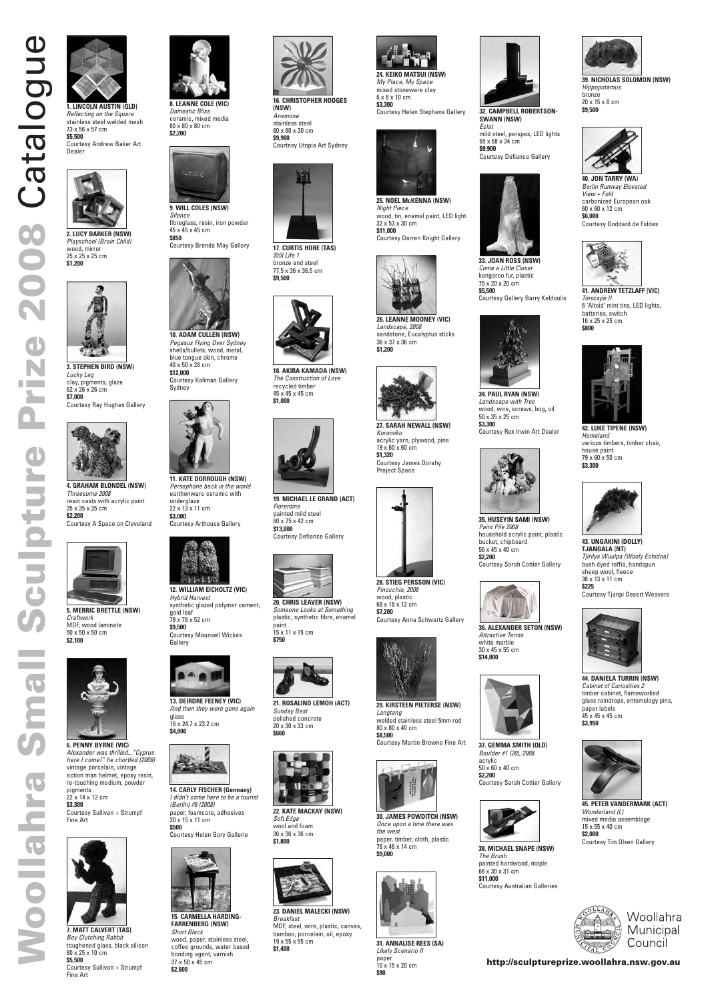

**m**

**al**

**S**

**c**

**u**

**l**

**p**

**t**

**u**

**r**

**e**

**P**

**ri**

**z**

**e**

**2**

**0**

**0**

**8**





**3. STEPHEN BIRD (NSW)** *Lucky Leg* clay, pigments, glaze 62 x 26 x 26 cm **\$7,000** Courtesy Ray Hughes Gallery



**4. GRAHAM BLONDEL (NSW)** *Threesome 2008* resin casts with acrylic paint 35 x 35 x 35 cm **\$2,200**

Courtesy A Space on Cleveland



**5. MERRIC BRETTLE (NSW)** *Craftwork* MDF, wood laminate 50 x 50 x 50 cm **\$2,100**



**6. PENNY BYRNE (VIC)** *Alexander was thrilled..."Cyprus*

#### *here I come!" he chortled (2008)* vintage porcelain, vintage action man helmet, epoxy resin, re-touching medium, powder pigments 22 x 14 x 12 cm **\$3,300** Courtesy Sullivan + Strumpf Fine Art



*Domestic Bliss* ceramic, mixed media 80 x 80 x 80 cm **\$2,200**



*Silence* fibreglass, resin, iron powder 45 x 45 x 45 cm **\$850**

Courtesy Brenda May Gallery



**10. ADAM CULLEN (NSW)** *Pegasus Flying Over Sydney* shells/bullets, wood, metal, blue tongue skin, chrome 40 x 50 x 28 cm

**\$12,000** Courtesy Kaliman Gallery Sydney



**11. KATE DORROUGH (NSW)** *Persephone back in the world* earthenware ceramic with underglaze 22 x 13 x 11 cm **\$3,000** Courtesy Arthouse Gallery



**12. WILLIAM EICHOLTZ (VIC)** *Hybrid Harvest* synthetic glazed polymer cement, gold leaf 79 x 78 x 52 cm **\$9,500** Courtesy Maunsell Wickes Gallery



**14. CARLY FISCHER (Germany)** *I didn't come here to be a tourist (Berlin) #6 (2008)* paper, foamcore, adhesives 20 x 15 x 11 cm **\$500** Courtesy Helen Gory Gallerie



**15. CARMELLA HARDING-FARRENBERG (NSW)** *Short Black* wood, paper, stainless steel, coffee grounds, water based bonding agent, varnish 37 x 50 x 45 cm **\$2,600**

**16. CHRISTOPHER HODGES (NSW)** *Anemone* stainless steel 80 x 80 x 30 cm **\$9,900**





**17. CURTIS HORE (TAS)** *Still Life 1*

bronze and steel 77.5 x 36 x 36.5 cm **\$9,500**



**18. AKIRA KAMADA (NSW)** *The Construction of Love* recycled timber 45 x 45 x 45 cm **\$1,000**



**20. CHRIS LEAVER (NSW)** *Someone Looks at Something* plastic, synthetic fibre, enamel paint 15 x 11 x 15 cm **\$750**



**21. ROSALIND LEMOH (ACT)** *Sunday Best* polished concrete 20 x 30 x 33 cm **\$660**



**22. KATE MACKAY (NSW)** *Soft Edge* wool and foam 36 x 36 x 36 cm **\$1,800**



**23. DANIEL MALECKI (NSW)** *Breakfast* MDF, steel, wire, plastic, canvas, bamboo, porcelain, oil, epoxy 19 x 55 x 55 cm **\$1,400**





*My Place, My Space* mixed stoneware clay 6 x 8 x 10 cm **\$3,300** Courtesy Helen Stephens Gallery



**25. NOEL McKENNA (NSW)** *Night Piece* wood, tin, enamel paint, LED light 32 x 53 x 30 cm **\$11,000** Courtesy Darren Knight Gallery

**26. LEANNE MOONEY (VIC)** sandstone, Eucalyptus sticks



*Landscape, 2008* 36 x 37 x 36 cm **\$1,200**





**27. SARAH NEWALL (NSW)** *Koromiko* acrylic yarn, plywood, pine 19 x 60 x 60 cm **\$1,320** Courtesy James Dorahy Project Space



**33. JOAN ROSS (NSW)** *Come a Little Closer* kangaroo fur, plastic 75 x 20 x 20 cm **\$5,500**

Courtesy Gallery Barry Keldoulis



**28. STIEG PERSSON (VIC)** *Pinocchio, 2008* wood, plastic 68 x 18 x 12 cm **\$7,200**



Courtesy Anna Schwartz Gallery



**29. KIRSTEEN PIETERSE (NSW)** *Langtang* welded stainless steel 5mm rod 80 x 80 x 40 cm **\$8,500**



**30. JAMES POWDITCH (NSW)** *Once upon a time there was the west* paper, timber, cloth, plastic 76 x 46 x 14 cm **\$9,000**



**31. ANNALISE REES (SA)** *Likely Scenario II* paper 10 x 15 x 20 cm **\$90**

**32. CAMPBELL ROBERTSON-**

**SWANN (NSW)** *Eclat*

mild steel, perspex, LED lights

65 x 68 x 34 cm **\$9,900**

Courtesy Defiance Gallery

**39. NICHOLAS SOLOMON (NSW)** *Hippopotamus* bronze 20 x 15 x 8 cm **\$9,500**



**40. JON TARRY (WA)** *Berlin Runway Elevated View + Fold* carbonized European oak 60 x 60 x 12 cm **\$6,000** Courtesy Goddard de Fiddes



**41. ANDREW TETZLAFF (VIC)** *Tinscape II* 6 'Altoid' mint tins, LED lights, batteries, switch 16 x 25 x 25 cm **\$800**

**43. UNGAKINI (DOLLY) TJANGALA (NT)** *Tjirilya Wuulpa (Wooly Echidna)* bush dyed raffia, handspun sheep wool, fleece 36 x 13 x 11 cm **\$225** Courtesy Tjanpi Desert Weavers



**44. DANIELA TURRIN (NSW)** *Cabinet of Curiosities 2* timber cabinet, flameworked glass raindrops, entomology pins, paper labels 45 x 45 x 45 cm **\$3,950**







mixed media assemblage 15 x 55 x 40 cm **\$2,000**

Courtesy Tim Olsen Gallery



**42. LUKE TIPENE (NSW)** *Homeland* various timbers, timber chair, house paint 79 x 60 x 50 cm **\$3,300**



**34. PAUL RYAN (NSW)** *Landscape with Tree* wood, wire, screws, bog, oil

50 x 35 x 25 cm **\$3,300**

Courtesy Rex Irwin Art Dealer

**35. HUSEYIN SAMI (NSW)**

*Paint Pile 2008*

household acrylic paint, plastic

bucket, chipboard 56 x 45 x 40 cm **\$2,200**

Courtesy Sarah Cottier Gallery

**36. ALEXANDER SETON (NSW)**

*Attractive Terms* white marble 30 x 45 x 55 cm **\$14,000**





acrylic 50 x 60 x 40 cm **\$2,200** Courtesy Sarah Cottier Gallery



**38. MICHAEL SNAPE (NSW)** *The Brush* painted hardwood, maple 66 x 30 x 31 cm **\$11,000** Courtesy Australian Galleries



Woollahra Municipal Council

**19. MICHAEL LE GRAND (ACT)** *Florentine* painted mild steel 60 x 75 x 42 cm **\$13,000** Courtesy Defiance Gallery



**13. DEIRDRE FEENEY (VIC)** *And then they were gone again* glass 16 x 24.7 x 23.2 cm **\$4,000**



**7. MATT CALVERT (TAS)** *Boy Clutching Rabbit* toughened glass, black silicon

80 x 25 x 10 cm **\$5,500**

Courtesy Sullivan + Strumpf

Fine Art



#### **http://sculptureprize.woollahra.nsw.gov.au**